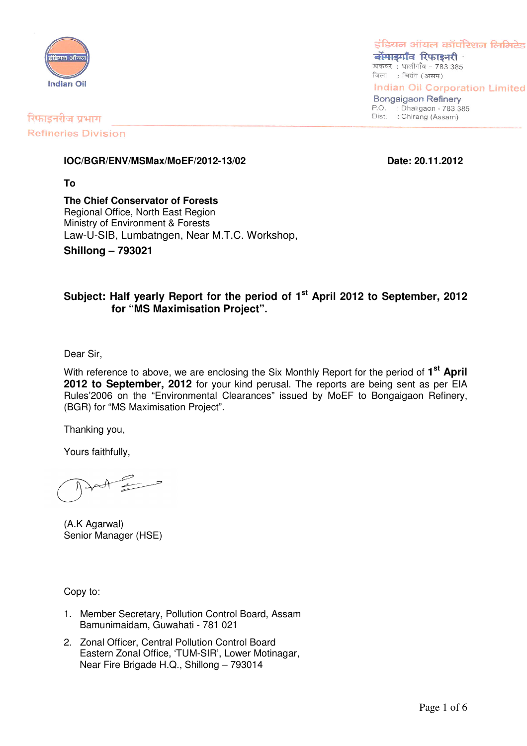

रिफाइनरीज प्रभाग

इंडियन ऑयल कॉर्पोरेशन लिमिटेड बोंगाडगाँव रिफाइनरी डाकघर: धालीगाँव - 783 385

जिला : चिरांग (असम)

**Indian Oil Corporation Limited Bongaigaon Refinery** 

P.O. : Dhaligaon - 783 385 Dist. : Chirang (Assam)

**Refineries Division** 

#### **IOC/BGR/ENV/MSMax/MoEF/2012-13/02 Date: 20.11.2012**

**To**

**The Chief Conservator of Forests** Regional Office, North East Region Ministry of Environment & Forests Law-U-SIB, Lumbatngen, Near M.T.C. Workshop,

**Shillong – 793021**

## **Subject: Half yearly Report for the period of 1 st April 2012 to September, 2012 for "MS Maximisation Project".**

Dear Sir,

With reference to above, we are enclosing the Six Monthly Report for the period of **1 st April 2012 to September, 2012** for your kind perusal. The reports are being sent as per EIA Rules'2006 on the "Environmental Clearances" issued by MoEF to Bongaigaon Refinery, (BGR) for "MS Maximisation Project".

Thanking you,

Yours faithfully,

(A.K Agarwal) Senior Manager (HSE)

Copy to:

- 1. Member Secretary, Pollution Control Board, Assam Bamunimaidam, Guwahati - 781 021
- 2. Zonal Officer, Central Pollution Control Board Eastern Zonal Office, 'TUM-SIR', Lower Motinagar, Near Fire Brigade H.Q., Shillong – 793014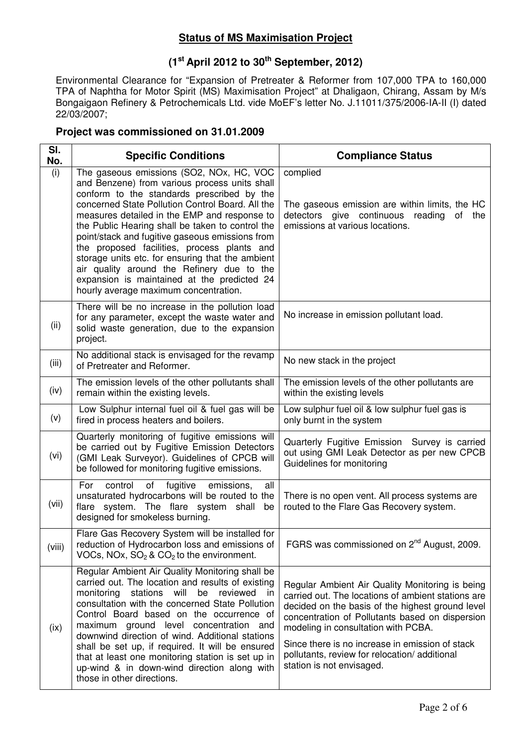## **Status of MS Maximisation Project**

# **(1 st April 2012 to 30 th September, 2012)**

Environmental Clearance for "Expansion of Pretreater & Reformer from 107,000 TPA to 160,000 TPA of Naphtha for Motor Spirit (MS) Maximisation Project" at Dhaligaon, Chirang, Assam by M/s Bongaigaon Refinery & Petrochemicals Ltd. vide MoEF's letter No. J.11011/375/2006-IA-II (I) dated 22/03/2007;

### **Project was commissioned on 31.01.2009**

| SI.<br>No. | <b>Specific Conditions</b>                                                                                                                                                                                                                                                                                                                                                                                                                                                                                                                                                                  | <b>Compliance Status</b>                                                                                                                                                                                                                                                                                                                                                            |
|------------|---------------------------------------------------------------------------------------------------------------------------------------------------------------------------------------------------------------------------------------------------------------------------------------------------------------------------------------------------------------------------------------------------------------------------------------------------------------------------------------------------------------------------------------------------------------------------------------------|-------------------------------------------------------------------------------------------------------------------------------------------------------------------------------------------------------------------------------------------------------------------------------------------------------------------------------------------------------------------------------------|
| (i)        | The gaseous emissions (SO2, NOx, HC, VOC<br>and Benzene) from various process units shall<br>conform to the standards prescribed by the<br>concerned State Pollution Control Board. All the<br>measures detailed in the EMP and response to<br>the Public Hearing shall be taken to control the<br>point/stack and fugitive gaseous emissions from<br>the proposed facilities, process plants and<br>storage units etc. for ensuring that the ambient<br>air quality around the Refinery due to the<br>expansion is maintained at the predicted 24<br>hourly average maximum concentration. | complied<br>The gaseous emission are within limits, the HC<br>detectors give continuous reading<br>of<br>the<br>emissions at various locations.                                                                                                                                                                                                                                     |
| (ii)       | There will be no increase in the pollution load<br>for any parameter, except the waste water and<br>solid waste generation, due to the expansion<br>project.                                                                                                                                                                                                                                                                                                                                                                                                                                | No increase in emission pollutant load.                                                                                                                                                                                                                                                                                                                                             |
| (iii)      | No additional stack is envisaged for the revamp<br>of Pretreater and Reformer.                                                                                                                                                                                                                                                                                                                                                                                                                                                                                                              | No new stack in the project                                                                                                                                                                                                                                                                                                                                                         |
| (iv)       | The emission levels of the other pollutants shall<br>remain within the existing levels.                                                                                                                                                                                                                                                                                                                                                                                                                                                                                                     | The emission levels of the other pollutants are<br>within the existing levels                                                                                                                                                                                                                                                                                                       |
| (v)        | Low Sulphur internal fuel oil & fuel gas will be<br>fired in process heaters and boilers.                                                                                                                                                                                                                                                                                                                                                                                                                                                                                                   | Low sulphur fuel oil & low sulphur fuel gas is<br>only burnt in the system                                                                                                                                                                                                                                                                                                          |
| (vi)       | Quarterly monitoring of fugitive emissions will<br>be carried out by Fugitive Emission Detectors<br>(GMI Leak Surveyor). Guidelines of CPCB will<br>be followed for monitoring fugitive emissions.                                                                                                                                                                                                                                                                                                                                                                                          | Quarterly Fugitive Emission Survey is carried<br>out using GMI Leak Detector as per new CPCB<br>Guidelines for monitoring                                                                                                                                                                                                                                                           |
| (vii)      | For<br>control<br>of<br>fugitive<br>emissions,<br>all<br>unsaturated hydrocarbons will be routed to the<br>system. The flare system shall<br>flare<br>be<br>designed for smokeless burning.                                                                                                                                                                                                                                                                                                                                                                                                 | There is no open vent. All process systems are<br>routed to the Flare Gas Recovery system.                                                                                                                                                                                                                                                                                          |
| (viii)     | Flare Gas Recovery System will be installed for<br>reduction of Hydrocarbon loss and emissions of<br>VOCs, NOx, $SO_2$ & $CO_2$ to the environment.                                                                                                                                                                                                                                                                                                                                                                                                                                         | FGRS was commissioned on 2 <sup>nd</sup> August, 2009.                                                                                                                                                                                                                                                                                                                              |
| (ix)       | Regular Ambient Air Quality Monitoring shall be<br>carried out. The location and results of existing<br>monitoring<br>stations will<br>be<br>reviewed<br><sub>in</sub><br>consultation with the concerned State Pollution<br>Control Board based on the occurrence of<br>maximum ground level concentration and<br>downwind direction of wind. Additional stations<br>shall be set up, if required. It will be ensured<br>that at least one monitoring station is set up in<br>up-wind & in down-wind direction along with<br>those in other directions.                                    | Regular Ambient Air Quality Monitoring is being<br>carried out. The locations of ambient stations are<br>decided on the basis of the highest ground level<br>concentration of Pollutants based on dispersion<br>modeling in consultation with PCBA.<br>Since there is no increase in emission of stack<br>pollutants, review for relocation/additional<br>station is not envisaged. |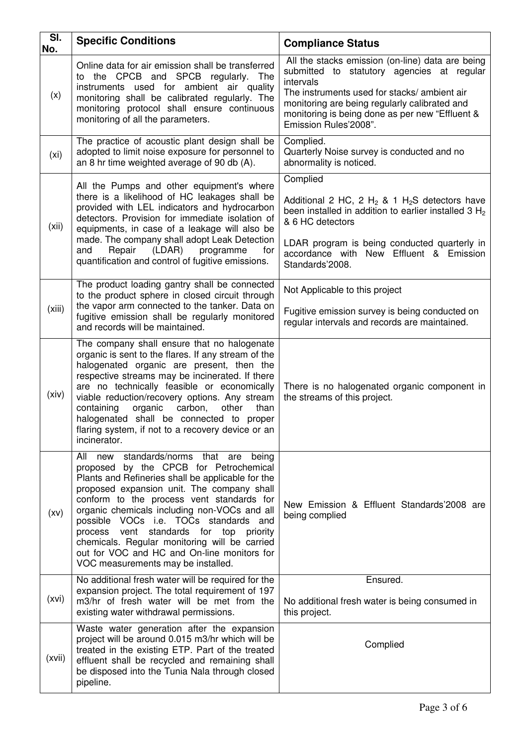| SI.<br>No.        | <b>Specific Conditions</b>                                                                                                                                                                                                                                                                                                                                                                                                                                                                                             | <b>Compliance Status</b>                                                                                                                                                                                                                                                                 |
|-------------------|------------------------------------------------------------------------------------------------------------------------------------------------------------------------------------------------------------------------------------------------------------------------------------------------------------------------------------------------------------------------------------------------------------------------------------------------------------------------------------------------------------------------|------------------------------------------------------------------------------------------------------------------------------------------------------------------------------------------------------------------------------------------------------------------------------------------|
| (x)               | Online data for air emission shall be transferred<br>to the CPCB and SPCB regularly. The<br>instruments used for ambient air quality<br>monitoring shall be calibrated regularly. The<br>monitoring protocol shall ensure continuous<br>monitoring of all the parameters.                                                                                                                                                                                                                                              | All the stacks emission (on-line) data are being<br>submitted to statutory agencies at regular<br>intervals<br>The instruments used for stacks/ ambient air<br>monitoring are being regularly calibrated and<br>monitoring is being done as per new "Effluent &<br>Emission Rules'2008". |
| (x <sub>i</sub> ) | The practice of acoustic plant design shall be<br>adopted to limit noise exposure for personnel to<br>an 8 hr time weighted average of 90 db (A).                                                                                                                                                                                                                                                                                                                                                                      | Complied.<br>Quarterly Noise survey is conducted and no<br>abnormality is noticed.                                                                                                                                                                                                       |
| (xii)             | All the Pumps and other equipment's where<br>there is a likelihood of HC leakages shall be<br>provided with LEL indicators and hydrocarbon<br>detectors. Provision for immediate isolation of<br>equipments, in case of a leakage will also be<br>made. The company shall adopt Leak Detection<br>and<br>Repair<br>(LDAR)<br>programme<br>for<br>quantification and control of fugitive emissions.                                                                                                                     | Complied<br>Additional 2 HC, 2 H <sub>2</sub> & 1 H <sub>2</sub> S detectors have<br>been installed in addition to earlier installed 3 H <sub>2</sub><br>& 6 HC detectors<br>LDAR program is being conducted quarterly in<br>accordance with New Effluent & Emission<br>Standards'2008.  |
| (xiii)            | The product loading gantry shall be connected<br>to the product sphere in closed circuit through<br>the vapor arm connected to the tanker. Data on<br>fugitive emission shall be regularly monitored<br>and records will be maintained.                                                                                                                                                                                                                                                                                | Not Applicable to this project<br>Fugitive emission survey is being conducted on<br>regular intervals and records are maintained.                                                                                                                                                        |
| (xiv)             | The company shall ensure that no halogenate<br>organic is sent to the flares. If any stream of the<br>halogenated organic are present, then the<br>respective streams may be incinerated. If there<br>are no technically feasible or economically<br>viable reduction/recovery options. Any stream<br>containing<br>organic<br>carbon, other<br>than<br>halogenated shall be connected to proper<br>flaring system, if not to a recovery device or an<br>incinerator.                                                  | There is no halogenated organic component in<br>the streams of this project.                                                                                                                                                                                                             |
| (xv)              | All new<br>standards/norms that are<br>being<br>proposed by the CPCB for Petrochemical<br>Plants and Refineries shall be applicable for the<br>proposed expansion unit. The company shall<br>conform to the process vent standards for<br>organic chemicals including non-VOCs and all<br>possible VOCs i.e. TOCs standards and<br>standards for top<br>process vent<br>priority<br>chemicals. Regular monitoring will be carried<br>out for VOC and HC and On-line monitors for<br>VOC measurements may be installed. | New Emission & Effluent Standards'2008 are<br>being complied                                                                                                                                                                                                                             |
| (xvi)             | No additional fresh water will be required for the<br>expansion project. The total requirement of 197<br>m3/hr of fresh water will be met from the<br>existing water withdrawal permissions.                                                                                                                                                                                                                                                                                                                           | Ensured.<br>No additional fresh water is being consumed in<br>this project.                                                                                                                                                                                                              |
| (xvii)            | Waste water generation after the expansion<br>project will be around 0.015 m3/hr which will be<br>treated in the existing ETP. Part of the treated<br>effluent shall be recycled and remaining shall<br>be disposed into the Tunia Nala through closed<br>pipeline.                                                                                                                                                                                                                                                    | Complied                                                                                                                                                                                                                                                                                 |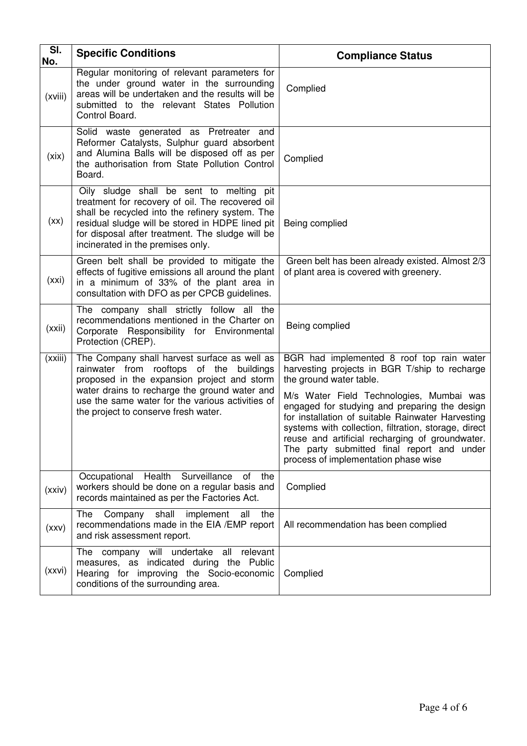| SI.<br>No. | <b>Specific Conditions</b>                                                                                                                                                                                                                                                                   | <b>Compliance Status</b>                                                                                                                                                                                                                                                                                                                                                                                                                                                 |
|------------|----------------------------------------------------------------------------------------------------------------------------------------------------------------------------------------------------------------------------------------------------------------------------------------------|--------------------------------------------------------------------------------------------------------------------------------------------------------------------------------------------------------------------------------------------------------------------------------------------------------------------------------------------------------------------------------------------------------------------------------------------------------------------------|
| (xviii)    | Regular monitoring of relevant parameters for<br>the under ground water in the surrounding<br>areas will be undertaken and the results will be<br>submitted to the relevant States Pollution<br>Control Board.                                                                               | Complied                                                                                                                                                                                                                                                                                                                                                                                                                                                                 |
| (xix)      | Solid waste generated as Pretreater and<br>Reformer Catalysts, Sulphur guard absorbent<br>and Alumina Balls will be disposed off as per<br>the authorisation from State Pollution Control<br>Board.                                                                                          | Complied                                                                                                                                                                                                                                                                                                                                                                                                                                                                 |
| (xx)       | Oily sludge shall be sent to melting pit<br>treatment for recovery of oil. The recovered oil<br>shall be recycled into the refinery system. The<br>residual sludge will be stored in HDPE lined pit<br>for disposal after treatment. The sludge will be<br>incinerated in the premises only. | Being complied                                                                                                                                                                                                                                                                                                                                                                                                                                                           |
| (xxi)      | Green belt shall be provided to mitigate the<br>effects of fugitive emissions all around the plant<br>in a minimum of 33% of the plant area in<br>consultation with DFO as per CPCB guidelines.                                                                                              | Green belt has been already existed. Almost 2/3<br>of plant area is covered with greenery.                                                                                                                                                                                                                                                                                                                                                                               |
| (xxi)      | The company shall strictly follow all the<br>recommendations mentioned in the Charter on<br>Corporate Responsibility for Environmental<br>Protection (CREP).                                                                                                                                 | Being complied                                                                                                                                                                                                                                                                                                                                                                                                                                                           |
| (xxiii)    | The Company shall harvest surface as well as<br>rainwater from rooftops of the buildings<br>proposed in the expansion project and storm<br>water drains to recharge the ground water and<br>use the same water for the various activities of<br>the project to conserve fresh water.         | BGR had implemented 8 roof top rain water<br>harvesting projects in BGR T/ship to recharge<br>the ground water table.<br>M/s Water Field Technologies, Mumbai was<br>engaged for studying and preparing the design<br>for installation of suitable Rainwater Harvesting<br>systems with collection, filtration, storage, direct<br>reuse and artificial recharging of groundwater.<br>The party submitted final report and under<br>process of implementation phase wise |
| (xxiv)     | Occupational Health<br>Surveillance<br>of<br>the<br>workers should be done on a regular basis and<br>records maintained as per the Factories Act.                                                                                                                                            | Complied                                                                                                                                                                                                                                                                                                                                                                                                                                                                 |
| (xxV)      | Company shall<br>implement<br>The<br>all<br>the<br>recommendations made in the EIA /EMP report<br>and risk assessment report.                                                                                                                                                                | All recommendation has been complied                                                                                                                                                                                                                                                                                                                                                                                                                                     |
| (xxvi)     | The company will undertake all<br>relevant<br>measures, as indicated during the Public<br>Hearing for improving the Socio-economic<br>conditions of the surrounding area.                                                                                                                    | Complied                                                                                                                                                                                                                                                                                                                                                                                                                                                                 |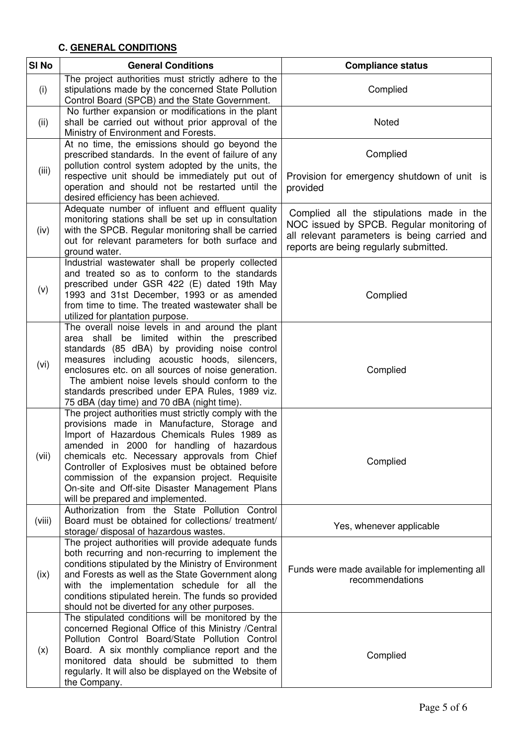# **C. GENERAL CONDITIONS**

| SI <sub>No</sub> | <b>General Conditions</b>                                                                                                                                                                                                                                                                                                                                                                                                                      | <b>Compliance status</b>                                                                                                                                                         |
|------------------|------------------------------------------------------------------------------------------------------------------------------------------------------------------------------------------------------------------------------------------------------------------------------------------------------------------------------------------------------------------------------------------------------------------------------------------------|----------------------------------------------------------------------------------------------------------------------------------------------------------------------------------|
| (i)              | The project authorities must strictly adhere to the<br>stipulations made by the concerned State Pollution<br>Control Board (SPCB) and the State Government.                                                                                                                                                                                                                                                                                    | Complied                                                                                                                                                                         |
| (ii)             | No further expansion or modifications in the plant<br>shall be carried out without prior approval of the<br>Ministry of Environment and Forests.                                                                                                                                                                                                                                                                                               | Noted                                                                                                                                                                            |
| (iii)            | At no time, the emissions should go beyond the<br>prescribed standards. In the event of failure of any<br>pollution control system adopted by the units, the<br>respective unit should be immediately put out of<br>operation and should not be restarted until the<br>desired efficiency has been achieved.                                                                                                                                   | Complied<br>Provision for emergency shutdown of unit is<br>provided                                                                                                              |
| (iv)             | Adequate number of influent and effluent quality<br>monitoring stations shall be set up in consultation<br>with the SPCB. Regular monitoring shall be carried<br>out for relevant parameters for both surface and<br>ground water.                                                                                                                                                                                                             | Complied all the stipulations made in the<br>NOC issued by SPCB. Regular monitoring of<br>all relevant parameters is being carried and<br>reports are being regularly submitted. |
| (v)              | Industrial wastewater shall be properly collected<br>and treated so as to conform to the standards<br>prescribed under GSR 422 (E) dated 19th May<br>1993 and 31st December, 1993 or as amended<br>from time to time. The treated wastewater shall be<br>utilized for plantation purpose.                                                                                                                                                      | Complied                                                                                                                                                                         |
| (vi)             | The overall noise levels in and around the plant<br>area shall be limited within the prescribed<br>standards (85 dBA) by providing noise control<br>measures including acoustic hoods, silencers,<br>enclosures etc. on all sources of noise generation.<br>The ambient noise levels should conform to the<br>standards prescribed under EPA Rules, 1989 viz.<br>75 dBA (day time) and 70 dBA (night time).                                    | Complied                                                                                                                                                                         |
| (vii)            | The project authorities must strictly comply with the<br>provisions made in Manufacture, Storage and<br>Import of Hazardous Chemicals Rules 1989 as<br>amended in 2000 for handling of hazardous<br>chemicals etc. Necessary approvals from Chief<br>Controller of Explosives must be obtained before<br>commission of the expansion project. Requisite<br>On-site and Off-site Disaster Management Plans<br>will be prepared and implemented. | Complied                                                                                                                                                                         |
| (viii)           | Authorization from the State Pollution Control<br>Board must be obtained for collections/ treatment/<br>storage/ disposal of hazardous wastes.                                                                                                                                                                                                                                                                                                 | Yes, whenever applicable                                                                                                                                                         |
| (ix)             | The project authorities will provide adequate funds<br>both recurring and non-recurring to implement the<br>conditions stipulated by the Ministry of Environment<br>and Forests as well as the State Government along<br>with the implementation schedule for all the<br>conditions stipulated herein. The funds so provided<br>should not be diverted for any other purposes.                                                                 | Funds were made available for implementing all<br>recommendations                                                                                                                |
| (x)              | The stipulated conditions will be monitored by the<br>concerned Regional Office of this Ministry / Central<br>Pollution Control Board/State Pollution Control<br>Board. A six monthly compliance report and the<br>monitored data should be submitted to them<br>regularly. It will also be displayed on the Website of<br>the Company.                                                                                                        | Complied                                                                                                                                                                         |